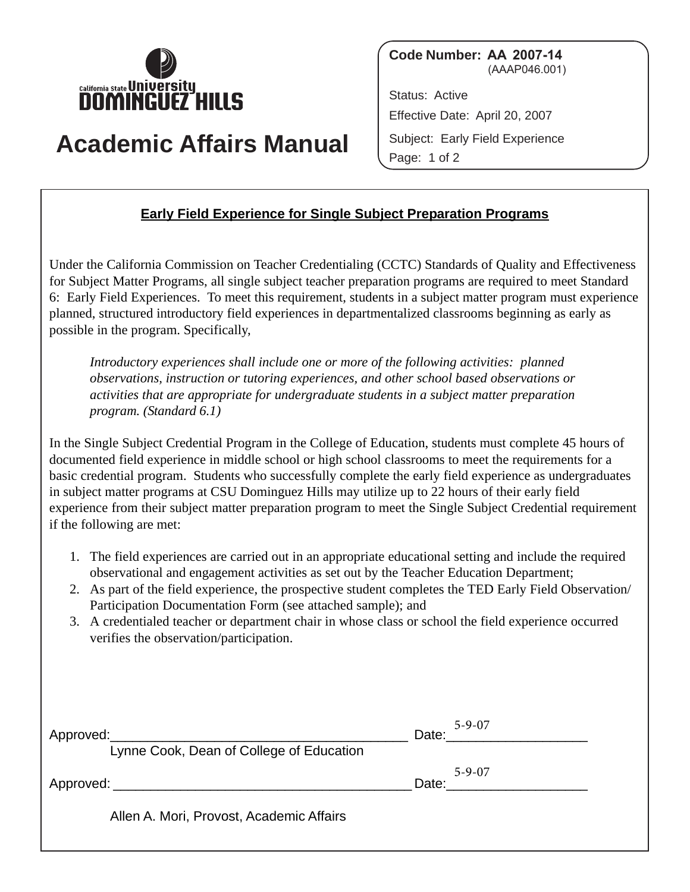

**Code Number: AA 2007-14** (AAAP046.001)

Status: Active Effective Date: April 20, 2007 Subject: Early Field Experience Page: 1 of 2

## **Academic Affairs Manual**

## **Early Field Experience for Single Subject Preparation Programs**

Under the California Commission on Teacher Credentialing (CCTC) Standards of Quality and Effectiveness for Subject Matter Programs, all single subject teacher preparation programs are required to meet Standard 6: Early Field Experiences. To meet this requirement, students in a subject matter program must experience planned, structured introductory field experiences in departmentalized classrooms beginning as early as possible in the program. Specifically,

*Introductory experiences shall include one or more of the following activities: planned observations, instruction or tutoring experiences, and other school based observations or activities that are appropriate for undergraduate students in a subject matter preparation program. (Standard 6.1)* 

In the Single Subject Credential Program in the College of Education, students must complete 45 hours of documented field experience in middle school or high school classrooms to meet the requirements for a basic credential program. Students who successfully complete the early field experience as undergraduates in subject matter programs at CSU Dominguez Hills may utilize up to 22 hours of their early field experience from their subject matter preparation program to meet the Single Subject Credential requirement if the following are met:

- 1. The field experiences are carried out in an appropriate educational setting and include the required observational and engagement activities as set out by the Teacher Education Department;
- 2. As part of the field experience, the prospective student completes the TED Early Field Observation/ Participation Documentation Form (see attached sample); and
- 3. A credentialed teacher or department chair in whose class or school the field experience occurred verifies the observation/participation.

| Lynne Cook, Dean of College of Education | $5 - 9 - 07$<br>Date: Date: Details and Date: Details and Date: Details and Date: Details and Date: Details and Date: Details and D |
|------------------------------------------|-------------------------------------------------------------------------------------------------------------------------------------|
| Approved: Approved:                      | $5 - 9 - 07$<br>Date:                                                                                                               |
| Allen A. Mori, Provost, Academic Affairs |                                                                                                                                     |